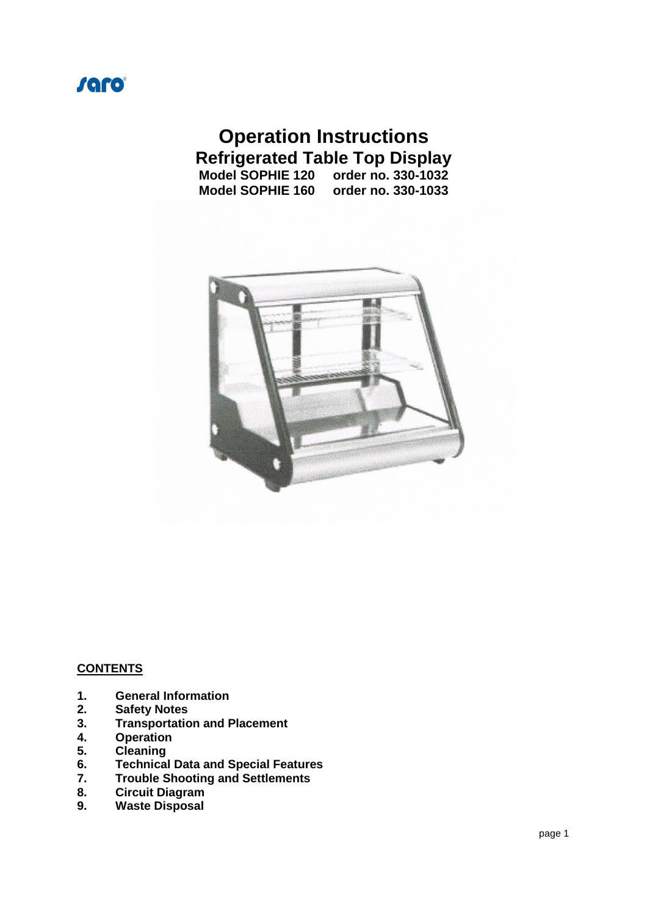

# **Operation Instructions Refrigerated Table Top Display**<br>Model SOPHIE 120 order no. 330-1032

**Model SOPHIE 120 order no. 330-1032 Model SOPHIE 160 order no. 330-1033** 



#### **CONTENTS**

- **1. General Information**
- **2. Safety Notes**
- **3. Transportation and Placement**
- **4. Operation**
- **5. Cleaning**
- **6. Technical Data and Special Features**
- **7. Trouble Shooting and Settlements**
- **8. Circuit Diagram**
- **9. Waste Disposal**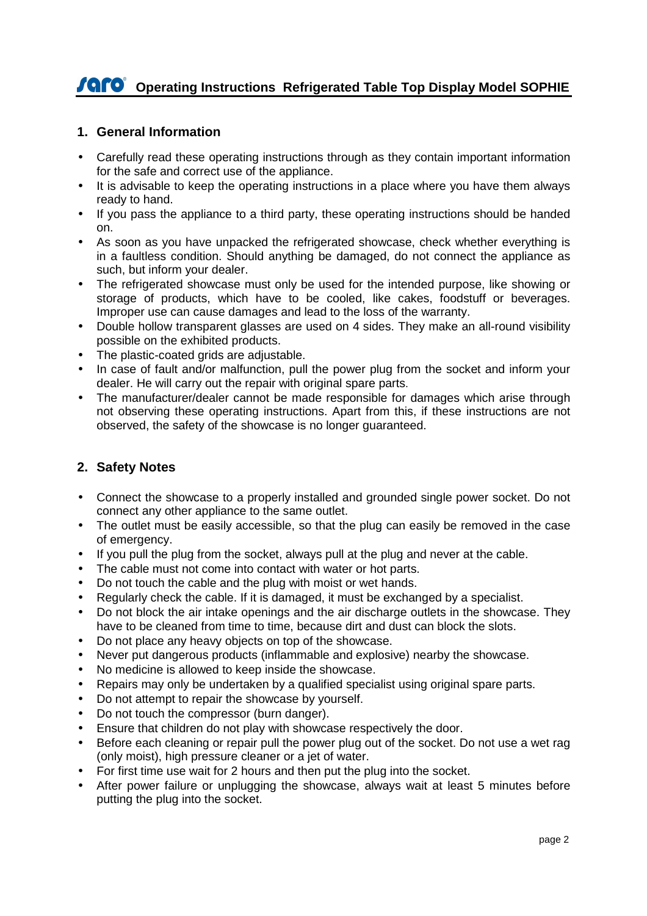# **COPERATION CONTRIGUITY AND IN STATE IN A STATE IS NOT A STATE IN STATE IS A STATE IS A STATE IS A STATE IS A STATE IS A STATE IS A STATE IS A STATE IS A STATE IS A STATE IS A STATE IS A STATE IS A STATE IS A STATE IS A ST**

## **1. General Information**

- Carefully read these operating instructions through as they contain important information for the safe and correct use of the appliance.
- It is advisable to keep the operating instructions in a place where you have them always ready to hand.
- If you pass the appliance to a third party, these operating instructions should be handed on.
- As soon as you have unpacked the refrigerated showcase, check whether everything is in a faultless condition. Should anything be damaged, do not connect the appliance as such, but inform your dealer.
- The refrigerated showcase must only be used for the intended purpose, like showing or storage of products, which have to be cooled, like cakes, foodstuff or beverages. Improper use can cause damages and lead to the loss of the warranty.
- Double hollow transparent glasses are used on 4 sides. They make an all-round visibility possible on the exhibited products.
- The plastic-coated grids are adjustable.
- In case of fault and/or malfunction, pull the power plug from the socket and inform your dealer. He will carry out the repair with original spare parts.
- The manufacturer/dealer cannot be made responsible for damages which arise through not observing these operating instructions. Apart from this, if these instructions are not observed, the safety of the showcase is no longer guaranteed.

# **2. Safety Notes**

- Connect the showcase to a properly installed and grounded single power socket. Do not connect any other appliance to the same outlet.
- The outlet must be easily accessible, so that the plug can easily be removed in the case of emergency.
- If you pull the plug from the socket, always pull at the plug and never at the cable.
- The cable must not come into contact with water or hot parts.
- Do not touch the cable and the plug with moist or wet hands.
- Regularly check the cable. If it is damaged, it must be exchanged by a specialist.
- Do not block the air intake openings and the air discharge outlets in the showcase. They have to be cleaned from time to time, because dirt and dust can block the slots.
- Do not place any heavy objects on top of the showcase.
- Never put dangerous products (inflammable and explosive) nearby the showcase.
- No medicine is allowed to keep inside the showcase.
- Repairs may only be undertaken by a qualified specialist using original spare parts.
- Do not attempt to repair the showcase by yourself.
- Do not touch the compressor (burn danger).
- Ensure that children do not play with showcase respectively the door.
- Before each cleaning or repair pull the power plug out of the socket. Do not use a wet rag (only moist), high pressure cleaner or a jet of water.
- For first time use wait for 2 hours and then put the plug into the socket.
- After power failure or unplugging the showcase, always wait at least 5 minutes before putting the plug into the socket.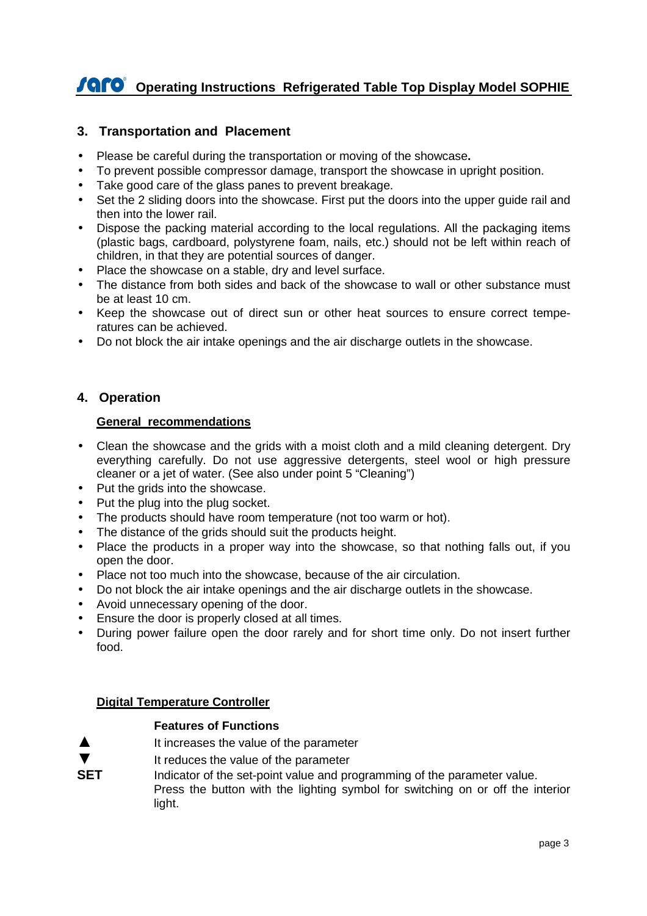# **COPERATION CONTRIGUITY AND IN STATE IN A STATE IS NOT A STATE IN STATE IS A STATE IS A STATE IS A STATE IS A STATE IS A STATE IS A STATE IS A STATE IS A STATE IS A STATE IS A STATE IS A STATE IS A STATE IS A STATE IS A ST**

## **3. Transportation and Placement**

- Please be careful during the transportation or moving of the showcase**.**
- To prevent possible compressor damage, transport the showcase in upright position.
- Take good care of the glass panes to prevent breakage.
- Set the 2 sliding doors into the showcase. First put the doors into the upper quide rail and then into the lower rail.
- Dispose the packing material according to the local regulations. All the packaging items (plastic bags, cardboard, polystyrene foam, nails, etc.) should not be left within reach of children, in that they are potential sources of danger.
- Place the showcase on a stable, dry and level surface.
- The distance from both sides and back of the showcase to wall or other substance must be at least 10 cm.
- Keep the showcase out of direct sun or other heat sources to ensure correct temperatures can be achieved.
- Do not block the air intake openings and the air discharge outlets in the showcase.

### **4. Operation**

#### **General recommendations**

- Clean the showcase and the grids with a moist cloth and a mild cleaning detergent. Dry everything carefully. Do not use aggressive detergents, steel wool or high pressure cleaner or a jet of water. (See also under point 5 "Cleaning")
- Put the grids into the showcase.
- Put the plug into the plug socket.
- The products should have room temperature (not too warm or hot).
- The distance of the grids should suit the products height.
- Place the products in a proper way into the showcase, so that nothing falls out, if you open the door.
- Place not too much into the showcase, because of the air circulation.
- Do not block the air intake openings and the air discharge outlets in the showcase.
- Avoid unnecessary opening of the door.
- Ensure the door is properly closed at all times.
- During power failure open the door rarely and for short time only. Do not insert further food.

#### **Digital Temperature Controller**

#### **Features of Functions**

- ▲ It increases the value of the parameter
- It reduces the value of the parameter
- **SET** Indicator of the set-point value and programming of the parameter value. Press the button with the lighting symbol for switching on or off the interior light.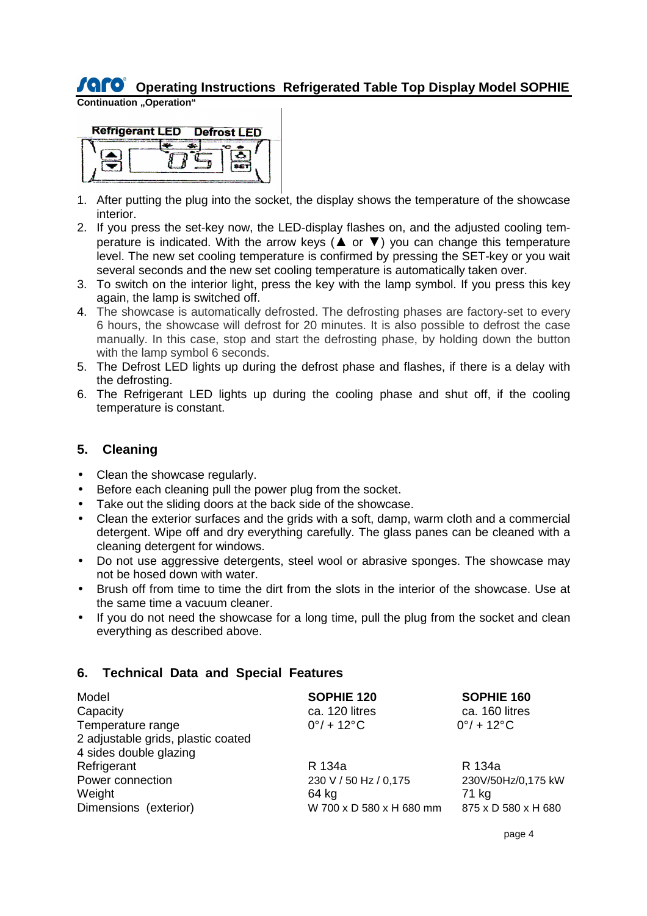# **Operating Instructions Refrigerated Table Top Display Model SOPHIE**

**Continuation "Operation"** 



- 1. After putting the plug into the socket, the display shows the temperature of the showcase interior.
- 2. If you press the set-key now, the LED-display flashes on, and the adjusted cooling temperature is indicated. With the arrow keys ( $\blacktriangle$  or  $\nabla$ ) you can change this temperature level. The new set cooling temperature is confirmed by pressing the SET-key or you wait several seconds and the new set cooling temperature is automatically taken over.
- 3. To switch on the interior light, press the key with the lamp symbol. If you press this key again, the lamp is switched off.
- 4. The showcase is automatically defrosted. The defrosting phases are factory-set to every 6 hours, the showcase will defrost for 20 minutes. It is also possible to defrost the case manually. In this case, stop and start the defrosting phase, by holding down the button with the lamp symbol 6 seconds.
- 5. The Defrost LED lights up during the defrost phase and flashes, if there is a delay with the defrosting.
- 6. The Refrigerant LED lights up during the cooling phase and shut off, if the cooling temperature is constant.

# **5. Cleaning**

- Clean the showcase regularly.
- Before each cleaning pull the power plug from the socket.
- Take out the sliding doors at the back side of the showcase.
- Clean the exterior surfaces and the grids with a soft, damp, warm cloth and a commercial detergent. Wipe off and dry everything carefully. The glass panes can be cleaned with a cleaning detergent for windows.
- Do not use aggressive detergents, steel wool or abrasive sponges. The showcase may not be hosed down with water.
- Brush off from time to time the dirt from the slots in the interior of the showcase. Use at the same time a vacuum cleaner.
- If you do not need the showcase for a long time, pull the plug from the socket and clean everything as described above.

# **6. Technical Data and Special Features**

| Model<br>Capacity                                       | SOPHIE 120<br>ca. 120 litres | SOPHIE 160<br>ca. 160 litres |
|---------------------------------------------------------|------------------------------|------------------------------|
| Temperature range<br>2 adjustable grids, plastic coated | $0^{\circ}/ + 12^{\circ}$ C  | $0^{\circ}/ + 12^{\circ}$ C  |
| 4 sides double glazing                                  |                              |                              |
| Refrigerant                                             | R 134a                       | R 134a                       |
| Power connection                                        | 230 V / 50 Hz / 0,175        | 230V/50Hz/0,175 kW           |
| Weight                                                  | 64 kg                        | 71 kg                        |
| Dimensions (exterior)                                   | W 700 x D 580 x H 680 mm     | 875 x D 580 x H 680          |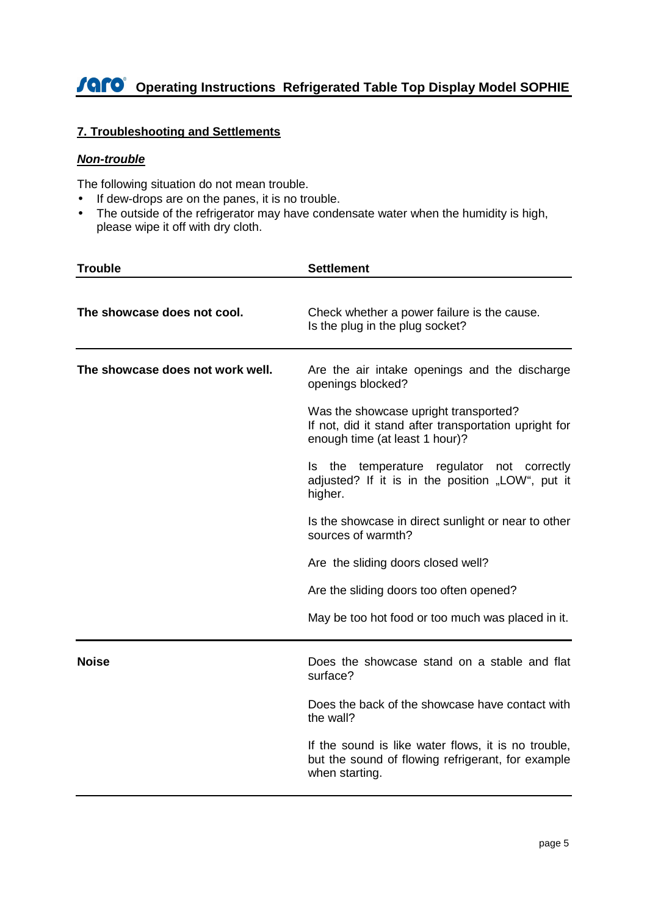# **Operating Instructions Refrigerated Table Top Display Model SOPHIE**

# **7. Troubleshooting and Settlements**

#### **Non-trouble**

The following situation do not mean trouble.

- If dew-drops are on the panes, it is no trouble.
- The outside of the refrigerator may have condensate water when the humidity is high, please wipe it off with dry cloth.

| <b>Trouble</b>                   | <b>Settlement</b>                                                                                                                |
|----------------------------------|----------------------------------------------------------------------------------------------------------------------------------|
| The showcase does not cool.      | Check whether a power failure is the cause.<br>Is the plug in the plug socket?                                                   |
| The showcase does not work well. | Are the air intake openings and the discharge<br>openings blocked?                                                               |
|                                  | Was the showcase upright transported?<br>If not, did it stand after transportation upright for<br>enough time (at least 1 hour)? |
|                                  | Is the temperature regulator not correctly<br>adjusted? If it is in the position "LOW", put it<br>higher.                        |
|                                  | Is the showcase in direct sunlight or near to other<br>sources of warmth?                                                        |
|                                  | Are the sliding doors closed well?                                                                                               |
|                                  | Are the sliding doors too often opened?                                                                                          |
|                                  | May be too hot food or too much was placed in it.                                                                                |
| <b>Noise</b>                     | Does the showcase stand on a stable and flat<br>surface?                                                                         |
|                                  | Does the back of the showcase have contact with<br>the wall?                                                                     |
|                                  | If the sound is like water flows, it is no trouble,<br>but the sound of flowing refrigerant, for example<br>when starting.       |